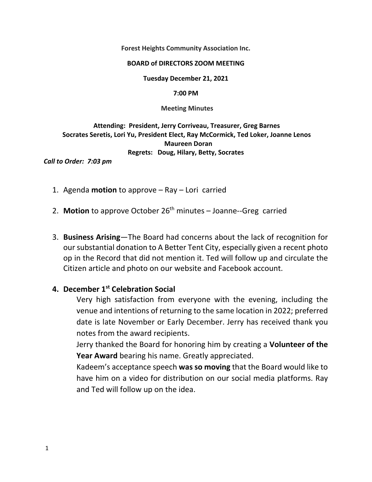**Forest Heights Community Association Inc.**

#### **BOARD of DIRECTORS ZOOM MEETING**

**Tuesday December 21, 2021**

**7:00 PM**

 **Meeting Minutes**

 **Attending: President, Jerry Corriveau, Treasurer, Greg Barnes Socrates Seretis, Lori Yu, President Elect, Ray McCormick, Ted Loker, Joanne Lenos Maureen Doran Regrets: Doug, Hilary, Betty, Socrates** 

*Call to Order: 7:03 pm*

- 1. Agenda **motion** to approve Ray Lori carried
- 2. **Motion** to approve October 26<sup>th</sup> minutes Joanne--Greg carried
- 3. **Business Arising**—The Board had concerns about the lack of recognition for our substantial donation to A Better Tent City, especially given a recent photo op in the Record that did not mention it. Ted will follow up and circulate the Citizen article and photo on our website and Facebook account.

#### **4. December 1st Celebration Social**

Very high satisfaction from everyone with the evening, including the venue and intentions of returning to the same location in 2022; preferred date is late November or Early December. Jerry has received thank you notes from the award recipients.

Jerry thanked the Board for honoring him by creating a **Volunteer of the Year Award** bearing his name. Greatly appreciated.

Kadeem's acceptance speech **was so moving** that the Board would like to have him on a video for distribution on our social media platforms. Ray and Ted will follow up on the idea.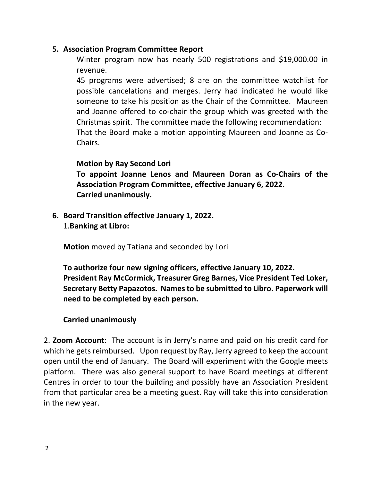## **5. Association Program Committee Report**

Winter program now has nearly 500 registrations and \$19,000.00 in revenue.

45 programs were advertised; 8 are on the committee watchlist for possible cancelations and merges. Jerry had indicated he would like someone to take his position as the Chair of the Committee. Maureen and Joanne offered to co-chair the group which was greeted with the Christmas spirit. The committee made the following recommendation: That the Board make a motion appointing Maureen and Joanne as Co‐ Chairs.

#### **Motion by Ray Second Lori**

**To appoint Joanne Lenos and Maureen Doran as Co‐Chairs of the Association Program Committee, effective January 6, 2022. Carried unanimously.** 

**6. Board Transition effective January 1, 2022.**  1.**Banking at Libro:**

**Motion** moved by Tatiana and seconded by Lori

**To authorize four new signing officers, effective January 10, 2022. President Ray McCormick, Treasurer Greg Barnes, Vice President Ted Loker, Secretary Betty Papazotos. Names to be submitted to Libro. Paperwork will need to be completed by each person.** 

## **Carried unanimously**

2. **Zoom Account**: The account is in Jerry's name and paid on his credit card for which he gets reimbursed. Upon request by Ray, Jerry agreed to keep the account open until the end of January. The Board will experiment with the Google meets platform. There was also general support to have Board meetings at different Centres in order to tour the building and possibly have an Association President from that particular area be a meeting guest. Ray will take this into consideration in the new year.